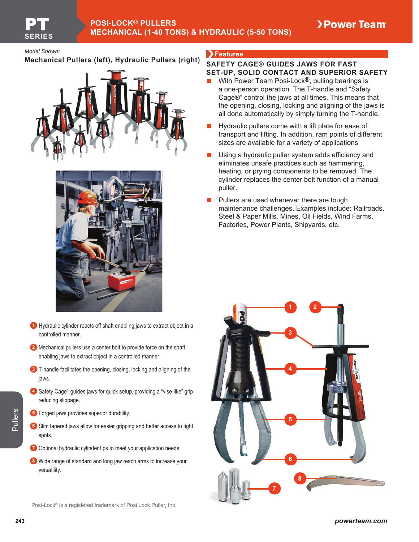**Mechanical Pullers (left), Hydraulic Pullers (right)**





- **<sup>1</sup>** Hydraulic cylinder reacts off shaft enabling jaws to extract object in a controlled manner.
- **2** Mechanical pullers use a center bolt to provide force on the shaft enabling jaws to extract object in a controlled manner.
- **3** T-handle facilitates the opening, closing, locking and aligning of the jaws.
- **4** Safety Cage® guides jaws for quick setup, providing a "vise-like" grip reducing slippage.
- **5** Forged jaws provides superior durability.
- **6** Slim tapered jaws allow for easier gripping and better access to tight spots.
- **<sup>7</sup>** Optional hydraulic cylinder tips to meet your application needs.
- **8** Wide range of standard and long jaw reach arms to increase your versatility.

### **Features** *Model Shown:*

## **SAFETY CAGE® GUIDES JAWS FOR FAST SET-UP, SOLID CONTACT AND SUPERIOR SAFETY**

- **Ŷ** With Power Team Posi-Lock**®**, pulling bearings is a one-person operation. The T-handle and "Safety Cage®" control the jaws at all times. This means that the opening, closing, locking and aligning of the jaws is all done automatically by simply turning the T-handle.
- **Ŷ** Hydraulic pullers come with a lift plate for ease of transport and lifting. In addition, ram points of different sizes are available for a variety of applications
- Using a hydraulic puller system adds efficiency and eliminates unsafe practices such as hammering, heating, or prying components to be removed. The cylinder replaces the center bolt function of a manual puller.
- Pullers are used whenever there are tough maintenance challenges. Examples include: Railroads, Steel & Paper Mills, Mines, Oil Fields, Wind Farms, Factories, Power Plants, Shipyards, etc.



Posi-Lock® is a registered trademark of Posi Lock Puller, Inc.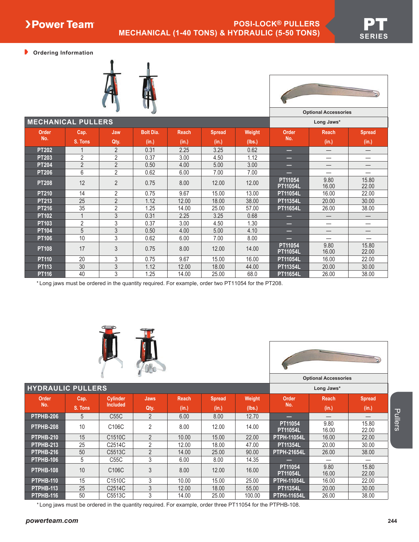**Ordering Information**



| <b>Optional Accessories</b> |
|-----------------------------|
| Long Jaws*                  |

| <b>MECHANICAL PULLERS</b> |                |                |                  |       |               |        |                            | Long Jaws*    |                |
|---------------------------|----------------|----------------|------------------|-------|---------------|--------|----------------------------|---------------|----------------|
| <b>Order</b>              | Cap.           | Jaw            | <b>Bolt Dia.</b> | Reach | <b>Spread</b> | Weight | <b>Order</b>               | <b>Reach</b>  | <b>Spread</b>  |
| No.                       | S. Tons        | Qty.           | (in.)            | (in.) | (in.)         | (lbs.) | No.                        | (in.)         | (in.)          |
| <b>PT202</b>              |                | $\overline{2}$ | 0.31             | 2.25  | 3.25          | 0.62   | _                          | –             |                |
| <b>PT203</b>              | 2              | $\overline{2}$ | 0.37             | 3.00  | 4.50          | 1.12   | —                          |               |                |
| <b>PT204</b>              | $\overline{2}$ | $\overline{2}$ | 0.50             | 4.00  | 5.00          | 3.00   | _                          | –             |                |
| <b>PT206</b>              | 6              | $\overline{2}$ | 0.62             | 6.00  | 7.00          | 7.00   | —                          |               |                |
| <b>PT208</b>              | 12             | $\overline{2}$ | 0.75             | 8.00  | 12.00         | 12.00  | PT11054<br><b>PT11054L</b> | 9.80<br>16.00 | 15.80<br>22.00 |
| <b>PT210</b>              | 14             | 2              | 0.75             | 9.67  | 15.00         | 13.00  | <b>PT11054L</b>            | 16.00         | 22.00          |
| <b>PT213</b>              | 25             | $\overline{2}$ | 1.12             | 12.00 | 18.00         | 38.00  | <b>PT11354L</b>            | 20.00         | 30.00          |
| <b>PT216</b>              | 35             | $\overline{2}$ | 1.25             | 14.00 | 25.00         | 57.00  | <b>PT11654L</b>            | 26.00         | 38.00          |
| <b>PT102</b>              |                | 3              | 0.31             | 2.25  | 3.25          | 0.68   | _                          |               |                |
| PT <sub>103</sub>         | 2              | 3              | 0.37             | 3.00  | 4.50          | 1.30   | —                          |               |                |
| <b>PT104</b>              | 5              | 3              | 0.50             | 4.00  | 5.00          | 4.10   | _                          |               |                |
| <b>PT106</b>              | 10             | 3              | 0.62             | 6.00  | 7.00          | 8.00   | _                          |               |                |
| <b>PT108</b>              | 17             | 3              | 0.75             | 8.00  | 12.00         | 14.00  | PT11054<br><b>PT11054L</b> | 9.80<br>16.00 | 15.80<br>22.00 |
| <b>PT110</b>              | 20             | 3              | 0.75             | 9.67  | 15.00         | 16.00  | <b>PT11054L</b>            | 16.00         | 22.00          |
| PT113                     | 30             | 3              | 1.12             | 12.00 | 18.00         | 44.00  | <b>PT11354L</b>            | 20.00         | 30.00          |
| <b>PT116</b>              | 40             | 3              | 1.25             | 14.00 | 25.00         | 68.0   | <b>PT11654L</b>            | 26.00         | 38.00          |

\* Long jaws must be ordered in the quantity required. For example, order two PT11054 for the PT208.





\* Long jaws must be ordered in the quantity required. For example, order three PT11054 for the PTPHB-108.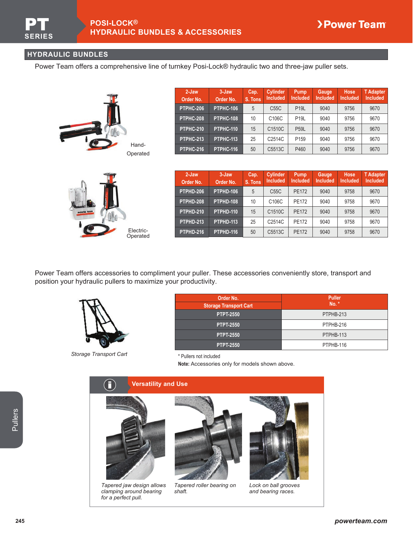# **HYDRAULIC BUNDLES**

Power Team offers a comprehensive line of turnkey Posi-Lock® hydraulic two and three-jaw puller sets.

|                           |                   | 2-Jaw<br>Order No. | 3-Jaw<br>Order No.    | Cap.<br>S. Tons  | Cylinder<br><b>Included</b> | Pump<br><b>Included</b> | Gauge<br><b>Included</b> | Hose<br>Included | T Adapter<br><b>Included</b>        |
|---------------------------|-------------------|--------------------|-----------------------|------------------|-----------------------------|-------------------------|--------------------------|------------------|-------------------------------------|
|                           |                   | PTPHC-206          | PTPHC-106             | 5                | C55C                        | <b>P19L</b>             | 9040                     | 9756             | 9670                                |
|                           |                   | PTPHC-208          | PTPHC-108             | 10               | C106C                       | <b>P19L</b>             | 9040                     | 9756             | 9670                                |
| <b>CONTRACTOR</b><br>ji g |                   | PTPHC-210          | PTPHC-110             | 15               | C1510C                      | <b>P59L</b>             | 9040                     | 9756             | 9670                                |
|                           |                   | <b>PTPHC-213</b>   | PTPHC-113             | 25               | C <sub>2514</sub> C         | P <sub>159</sub>        | 9040                     | 9756             | 9670                                |
|                           | Hand-<br>Operated | <b>PTPHC-216</b>   | PTPHC-116             | 50               | C5513C                      | P460                    | 9040                     | 9756             | 9670                                |
|                           |                   |                    |                       |                  |                             |                         |                          |                  |                                     |
|                           |                   | 2-Jaw<br>Order No. | $3 -$ Jaw<br>Order No | Cap.<br>$S$ Tone | Cylinder<br>Included        | Pump<br><b>Included</b> | Gauge<br><b>Included</b> | Hose<br>Included | <b>T</b> Adapter<br><b>Included</b> |



| 2-Jaw<br>Order No. | 3-Jaw<br>Order No. | Cap.<br>S. Tons | <b>Cylinder</b><br><b>Included</b> | Pump<br><b>Included</b> | <b>Gauge</b><br><b>Included</b> | Hose<br><b>Included</b> | <b>T</b> Adapter<br><b>Included</b> |
|--------------------|--------------------|-----------------|------------------------------------|-------------------------|---------------------------------|-------------------------|-------------------------------------|
| PTPHD-206          | PTPHD-106          | 5               | C55C                               | <b>PE172</b>            | 9040                            | 9758                    | 9670                                |
| PTPHD-208          | PTPHD-108          | 10              | C106C                              | <b>PE172</b>            | 9040                            | 9758                    | 9670                                |
| PTPHD-210          | PTPHD-110          | 15              | C1510C                             | <b>PE172</b>            | 9040                            | 9758                    | 9670                                |
| PTPHD-213          | PTPHD-113          | 25              | C2514C                             | <b>PE172</b>            | 9040                            | 9758                    | 9670                                |
| PTPHD-216          | PTPHD-116          | 50              | C5513C                             | <b>PE172</b>            | 9040                            | 9758                    | 9670                                |

Power Team offers accessories to compliment your puller. These accessories conveniently store, transport and position your hydraulic pullers to maximize your productivity.



*Storage Transport Cart* \* Pullers not included

*for a perfect pull.*

| Order No.                     | <b>Puller</b> |
|-------------------------------|---------------|
| <b>Storage Transport Cart</b> | No.           |
| <b>PTPT-2550</b>              | PTPHB-213     |
| <b>PTPT-2550</b>              | PTPHB-216     |
| <b>PTPT-2550</b>              | PTPHB-113     |
| <b>PTPT-2550</b>              | PTPHB-116     |

**Note:** Accessories only for models shown above.



*and bearing races.*